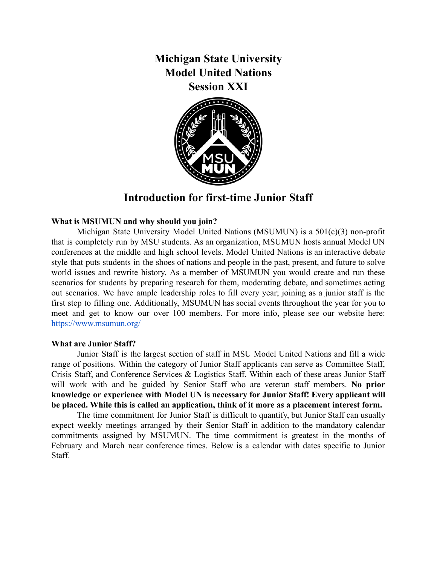**Michigan State University Model United Nations Session XXI**



# **Introduction for first-time Junior Staff**

#### **What is MSUMUN and why should you join?**

Michigan State University Model United Nations (MSUMUN) is a 501(c)(3) non-profit that is completely run by MSU students. As an organization, MSUMUN hosts annual Model UN conferences at the middle and high school levels. Model United Nations is an interactive debate style that puts students in the shoes of nations and people in the past, present, and future to solve world issues and rewrite history. As a member of MSUMUN you would create and run these scenarios for students by preparing research for them, moderating debate, and sometimes acting out scenarios. We have ample leadership roles to fill every year; joining as a junior staff is the first step to filling one. Additionally, MSUMUN has social events throughout the year for you to meet and get to know our over 100 members. For more info, please see our website here: <https://www.msumun.org/>

#### **What are Junior Staff?**

Junior Staff is the largest section of staff in MSU Model United Nations and fill a wide range of positions. Within the category of Junior Staff applicants can serve as Committee Staff, Crisis Staff, and Conference Services & Logistics Staff. Within each of these areas Junior Staff will work with and be guided by Senior Staff who are veteran staff members. **No prior knowledge or experience with Model UN is necessary for Junior Staff! Every applicant will be placed. While this is called an application, think of it more as a placement interest form.**

The time commitment for Junior Staff is difficult to quantify, but Junior Staff can usually expect weekly meetings arranged by their Senior Staff in addition to the mandatory calendar commitments assigned by MSUMUN. The time commitment is greatest in the months of February and March near conference times. Below is a calendar with dates specific to Junior Staff.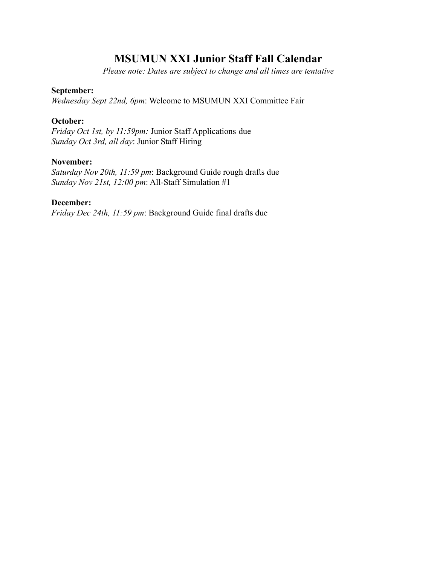# **MSUMUN XXI Junior Staff Fall Calendar**

*Please note: Dates are subject to change and all times are tentative*

### **September:**

*Wednesday Sept 22nd, 6pm*: Welcome to MSUMUN XXI Committee Fair

## **October:**

*Friday Oct 1st, by 11:59pm:* Junior Staff Applications due *Sunday Oct 3rd, all day*: Junior Staff Hiring

## **November:**

*Saturday Nov 20th, 11:59 pm*: Background Guide rough drafts due *Sunday Nov 21st, 12:00 pm*: All-Staff Simulation #1

### **December:**

*Friday Dec 24th, 11:59 pm*: Background Guide final drafts due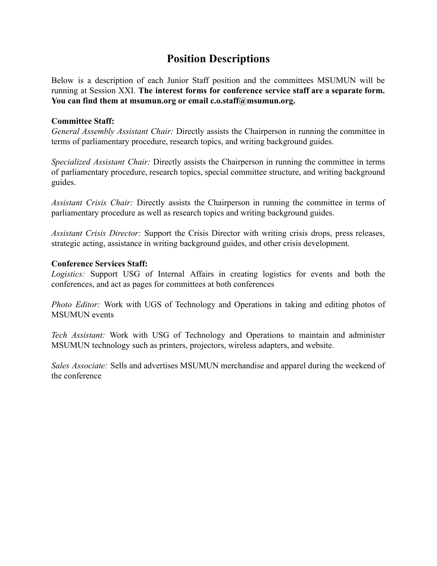# **Position Descriptions**

Below is a description of each Junior Staff position and the committees MSUMUN will be running at Session XXI. **The interest forms for conference service staff are a separate form. You can find them at msumun.org or email c.o.staff@msumun.org.**

### **Committee Staff:**

*General Assembly Assistant Chair:* Directly assists the Chairperson in running the committee in terms of parliamentary procedure, research topics, and writing background guides.

*Specialized Assistant Chair:* Directly assists the Chairperson in running the committee in terms of parliamentary procedure, research topics, special committee structure, and writing background guides.

*Assistant Crisis Chair:* Directly assists the Chairperson in running the committee in terms of parliamentary procedure as well as research topics and writing background guides.

*Assistant Crisis Director:* Support the Crisis Director with writing crisis drops, press releases, strategic acting, assistance in writing background guides, and other crisis development.

### **Conference Services Staff:**

*Logistics:* Support USG of Internal Affairs in creating logistics for events and both the conferences, and act as pages for committees at both conferences

*Photo Editor:* Work with UGS of Technology and Operations in taking and editing photos of MSUMUN events

*Tech Assistant:* Work with USG of Technology and Operations to maintain and administer MSUMUN technology such as printers, projectors, wireless adapters, and website.

*Sales Associate:* Sells and advertises MSUMUN merchandise and apparel during the weekend of the conference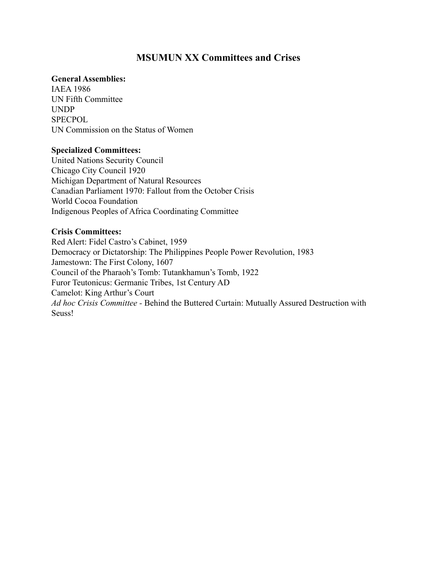# **MSUMUN XX Committees and Crises**

#### **General Assemblies:**

IAEA 1986 UN Fifth Committee UNDP **SPECPOL** UN Commission on the Status of Women

#### **Specialized Committees:**

United Nations Security Council Chicago City Council 1920 Michigan Department of Natural Resources Canadian Parliament 1970: Fallout from the October Crisis World Cocoa Foundation Indigenous Peoples of Africa Coordinating Committee

#### **Crisis Committees:**

Red Alert: Fidel Castro's Cabinet, 1959 Democracy or Dictatorship: The Philippines People Power Revolution, 1983 Jamestown: The First Colony, 1607 Council of the Pharaoh's Tomb: Tutankhamun's Tomb, 1922 Furor Teutonicus: Germanic Tribes, 1st Century AD Camelot: King Arthur's Court *Ad hoc Crisis Committee -* Behind the Buttered Curtain: Mutually Assured Destruction with Seuss!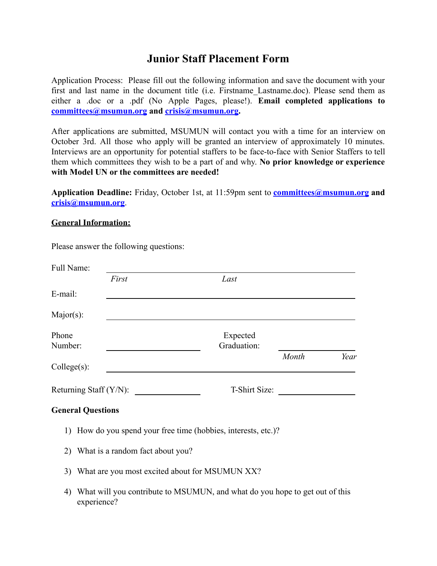# **Junior Staff Placement Form**

Application Process: Please fill out the following information and save the document with your first and last name in the document title (i.e. Firstname Lastname.doc). Please send them as either a .doc or a .pdf (No Apple Pages, please!). **Email completed applications to [committees@msumun.org](mailto:committees@msumun.org) and [crisis@msumun.org](mailto:crisis@msumun.org).**

After applications are submitted, MSUMUN will contact you with a time for an interview on October 3rd. All those who apply will be granted an interview of approximately 10 minutes. Interviews are an opportunity for potential staffers to be face-to-face with Senior Staffers to tell them which committees they wish to be a part of and why. **No prior knowledge or experience with Model UN or the committees are needed!**

**Application Deadline:** Friday, October 1st, at 11:59pm sent to **[committees@msumun.org](mailto:committees@msumun.org) and [crisis@msumun.org](mailto:crisis@msumun.org)**.

### **General Information:**

Please answer the following questions:

| Full Name:                |                          |                                                                             |       |      |  |
|---------------------------|--------------------------|-----------------------------------------------------------------------------|-------|------|--|
|                           | First                    | Last                                                                        |       |      |  |
| E-mail:                   |                          |                                                                             |       |      |  |
| $Major(s)$ :              |                          |                                                                             |       |      |  |
| Phone<br>Number:          |                          | Expected<br>Graduation:                                                     |       |      |  |
| $Collect(s)$ :            |                          |                                                                             | Month | Year |  |
| Returning Staff $(Y/N)$ : |                          | T-Shirt Size:                                                               |       |      |  |
|                           | <b>General Questions</b> |                                                                             |       |      |  |
|                           |                          | 1) How do you spend your free time (hobbies, interests, etc.)?              |       |      |  |
| 2)                        |                          | What is a random fact about you?                                            |       |      |  |
| 3)                        |                          | What are you most excited about for MSUMUN XX?                              |       |      |  |
| 4)                        | experience?              | What will you contribute to MSUMUN, and what do you hope to get out of this |       |      |  |